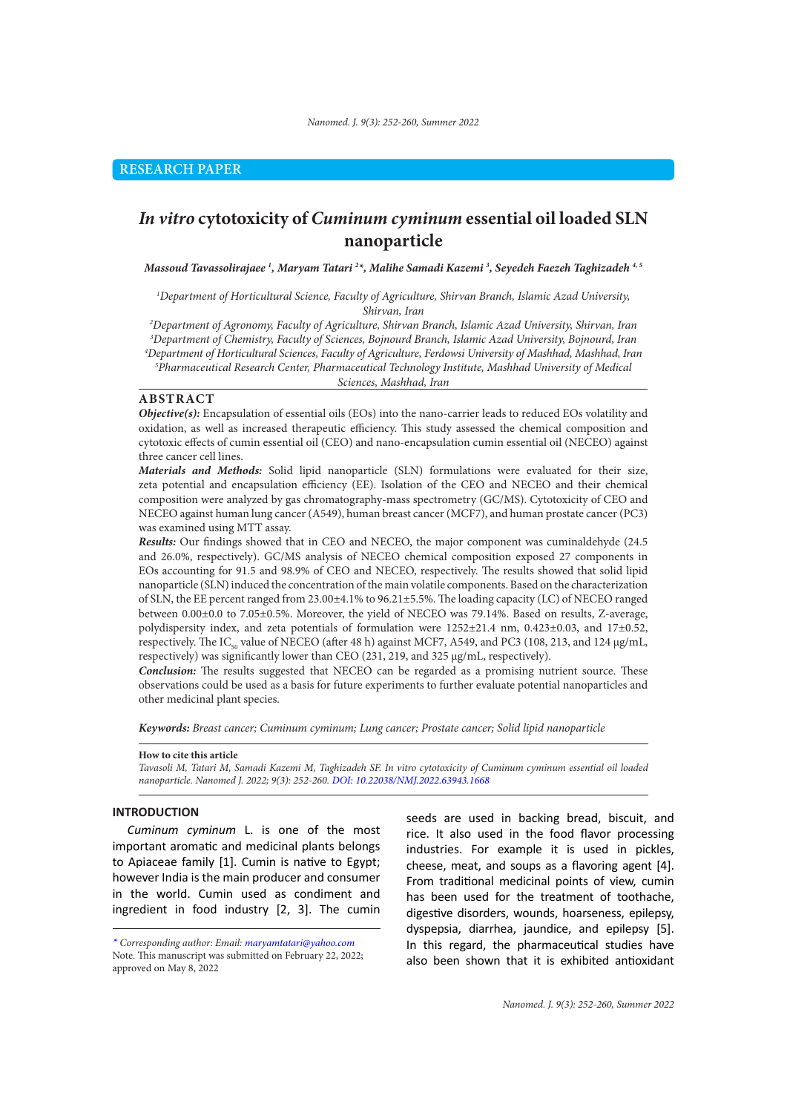# *In vitro* **cytotoxicity of** *Cuminum cyminum* **essential oil loaded SLN nanoparticle**

*Massoud Tavassolirajaee 1 , Maryam Tatari 2 \*, Malihe Samadi Kazemi 3 , Seyedeh Faezeh Taghizadeh 4, 5*

*1 Department of Horticultural Science, Faculty of Agriculture, Shirvan Branch, Islamic Azad University, Shirvan, Iran*

 *Department of Agronomy, Faculty of Agriculture, Shirvan Branch, Islamic Azad University, Shirvan, Iran Department of Chemistry, Faculty of Sciences, Bojnourd Branch, Islamic Azad University, Bojnourd, Iran Department of Horticultural Sciences, Faculty of Agriculture, Ferdowsi University of Mashhad, Mashhad, Iran Pharmaceutical Research Center, Pharmaceutical Technology Institute, Mashhad University of Medical Sciences, Mashhad, Iran*

# **ABSTRACT**

*Objective(s):* Encapsulation of essential oils (EOs) into the nano-carrier leads to reduced EOs volatility and oxidation, as well as increased therapeutic efficiency. This study assessed the chemical composition and cytotoxic effects of cumin essential oil (CEO) and nano-encapsulation cumin essential oil (NECEO) against three cancer cell lines.

*Materials and Methods:* Solid lipid nanoparticle (SLN) formulations were evaluated for their size, zeta potential and encapsulation efficiency (EE). Isolation of the CEO and NECEO and their chemical composition were analyzed by gas chromatography-mass spectrometry (GC/MS). Cytotoxicity of CEO and NECEO against human lung cancer (A549), human breast cancer (MCF7), and human prostate cancer (PC3) was examined using MTT assay.

*Results:* Our findings showed that in CEO and NECEO, the major component was cuminaldehyde (24.5 and 26.0%, respectively). GC/MS analysis of NECEO chemical composition exposed 27 components in EOs accounting for 91.5 and 98.9% of CEO and NECEO, respectively. The results showed that solid lipid nanoparticle (SLN) induced the concentration of the main volatile components. Based on the characterization of SLN, the EE percent ranged from 23.00±4.1% to 96.21±5.5%. The loading capacity (LC) of NECEO ranged between 0.00±0.0 to 7.05±0.5%. Moreover, the yield of NECEO was 79.14%. Based on results, Z-average, polydispersity index, and zeta potentials of formulation were 1252±21.4 nm, 0.423±0.03, and 17±0.52, respectively. The IC<sub>50</sub> value of NECEO (after 48 h) against MCF7, A549, and PC3 (108, 213, and 124  $\mu$ g/mL, respectively) was significantly lower than CEO (231, 219, and 325 μg/mL, respectively).

*Conclusion:* The results suggested that NECEO can be regarded as a promising nutrient source. These observations could be used as a basis for future experiments to further evaluate potential nanoparticles and other medicinal plant species.

*Keywords: Breast cancer; Cuminum cyminum; Lung cancer; Prostate cancer; Solid lipid nanoparticle* 

#### **How to cite this article**

*Tavasoli M, Tatari M, Samadi Kazemi M, Taghizadeh SF. In vitro cytotoxicity of Cuminum cyminum essential oil loaded nanoparticle. Nanomed J. 2022; 9(3): 252-260. DOI: 10.22038/NMJ.2022.63943.1668*

#### **INTRODUCTION**

*Cuminum cyminum* L. is one of the most important aromatic and medicinal plants belongs to Apiaceae family [1]. Cumin is native to Egypt; however India is the main producer and consumer in the world. Cumin used as condiment and ingredient in food industry [2, 3]. The cumin

seeds are used in backing bread, biscuit, and rice. It also used in the food flavor processing industries. For example it is used in pickles, cheese, meat, and soups as a flavoring agent [4]. From traditional medicinal points of view, cumin has been used for the treatment of toothache, digestive disorders, wounds, hoarseness, epilepsy, dyspepsia, diarrhea, jaundice, and epilepsy [5]. In this regard, the pharmaceutical studies have also been shown that it is exhibited antioxidant

*<sup>\*</sup> Corresponding author: Email: maryamtatari@yahoo.com* Note. This manuscript was submitted on February 22, 2022; approved on May 8, 2022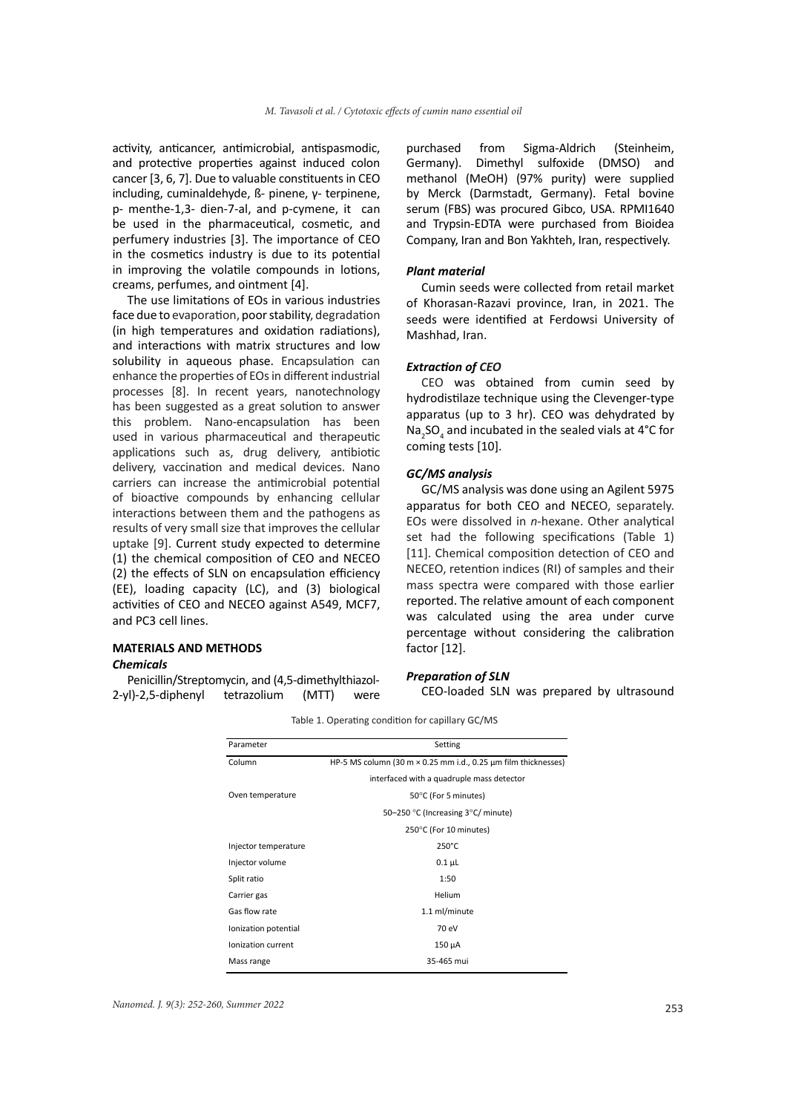activity, anticancer, antimicrobial, antispasmodic, and protective properties against induced colon cancer [3, 6, 7]. Due to valuable constituents in CEO including, cuminaldehyde, ß- pinene, γ- terpinene, p- menthe-1,3- dien-7-al, and p-cymene, it can be used in the pharmaceutical, cosmetic, and perfumery industries [3]. The importance of CEO in the cosmetics industry is due to its potential in improving the volatile compounds in lotions, creams, perfumes, and ointment [4].

The use limitations of EOs in various industries face due to evaporation, poor stability, degradation (in high temperatures and oxidation radiations), and interactions with matrix structures and low solubility in aqueous phase. Encapsulation can enhance the properties of EOs in different industrial processes [8]. In recent years, nanotechnology has been suggested as a great solution to answer this problem. Nano-encapsulation has been used in various pharmaceutical and therapeutic applications such as, drug delivery, antibiotic delivery, vaccination and medical devices. Nano carriers can increase the antimicrobial potential of bioactive compounds by enhancing cellular interactions between them and the pathogens as results of very small size that improves the cellular uptake [9]. Current study expected to determine (1) the chemical composition of CEO and NECEO (2) the effects of SLN on encapsulation efficiency (EE), loading capacity (LC), and (3) biological activities of CEO and NECEO against A549, MCF7, and PC3 cell lines.

# **MATERIALS AND METHODS**

# *Chemicals*

Penicillin/Streptomycin, and (4,5-dimethylthiazol-2-yl)-2,5-diphenyl tetrazolium (MTT) were purchased from Sigma-Aldrich (Steinheim, Germany). Dimethyl sulfoxide (DMSO) and methanol (MeOH) (97% purity) were supplied by Merck (Darmstadt, Germany). Fetal bovine serum (FBS) was procured Gibco, USA. RPMI1640 and Trypsin-EDTA were purchased from Bioidea Company, Iran and Bon Yakhteh, Iran, respectively.

#### *Plant material*

Cumin seeds were collected from retail market of Khorasan-Razavi province, Iran, in 2021. The seeds were identified at Ferdowsi University of Mashhad, Iran.

#### *Extraction of CEO*

CEO was obtained from cumin seed by hydrodistilaze technique using the Clevenger-type apparatus (up to 3 hr). CEO was dehydrated by  $\textsf{Na}_2\textsf{SO}_4$  and incubated in the sealed vials at 4°C for coming tests [10].

#### *GC/MS analysis*

GC/MS analysis was done using an Agilent 5975 apparatus for both CEO and NECEO, separately. EOs were dissolved in *n*-hexane. Other analytical set had the following specifications (Table 1) [11]. Chemical composition detection of CEO and NECEO, retention indices (RI) of samples and their mass spectra were compared with those earlier reported. The relative amount of each component was calculated using the area under curve percentage without considering the calibration factor [12].

#### *Preparation of SLN*

CEO-loaded SLN was prepared by ultrasound

| Parameter            | Setting                                                               |  |  |  |
|----------------------|-----------------------------------------------------------------------|--|--|--|
| Column               | HP-5 MS column (30 m $\times$ 0.25 mm i.d., 0.25 µm film thicknesses) |  |  |  |
|                      | interfaced with a quadruple mass detector                             |  |  |  |
| Oven temperature     | 50°C (For 5 minutes)                                                  |  |  |  |
|                      | 50-250 °C (Increasing 3°C/ minute)                                    |  |  |  |
|                      | 250°C (For 10 minutes)                                                |  |  |  |
| Injector temperature | $250^{\circ}$ C                                                       |  |  |  |
| Injector volume      | $0.1 \mu L$                                                           |  |  |  |
| Split ratio          | 1:50                                                                  |  |  |  |
| Carrier gas          | Helium                                                                |  |  |  |
| Gas flow rate        | 1.1 ml/minute                                                         |  |  |  |
| Ionization potential | 70 eV                                                                 |  |  |  |
| Ionization current   | 150 µA                                                                |  |  |  |
| Mass range           | 35-465 mui                                                            |  |  |  |

### Table 1. Operating condition for capillary GC/MS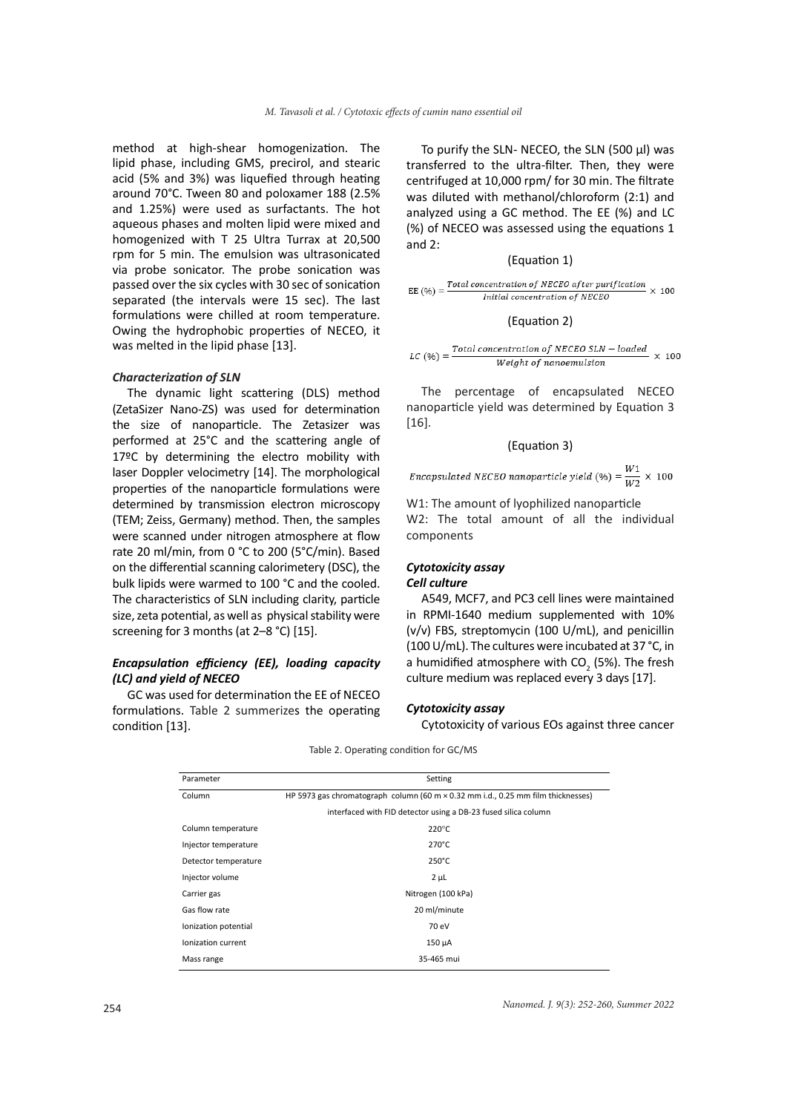method at high-shear homogenization. The lipid phase, including GMS, precirol, and stearic acid (5% and 3%) was liquefied through heating around 70°C. Tween 80 and poloxamer 188 (2.5% and 1.25%) were used as surfactants. The hot aqueous phases and molten lipid were mixed and homogenized with T 25 Ultra Turrax at 20,500 rpm for 5 min. The emulsion was ultrasonicated via probe sonicator. The probe sonication was passed over the six cycles with 30 sec of sonication separated (the intervals were 15 sec). The last formulations were chilled at room temperature. Owing the hydrophobic properties of NECEO, it was melted in the lipid phase [13].

#### *Characterization of SLN*

The dynamic light scattering (DLS) method (ZetaSizer Nano-ZS) was used for determination the size of nanoparticle. The Zetasizer was performed at 25°C and the scattering angle of 17ºC by determining the electro mobility with laser Doppler velocimetry [14]. The morphological properties of the nanoparticle formulations were determined by transmission electron microscopy (TEM; Zeiss, Germany) method. Then, the samples were scanned under nitrogen atmosphere at flow rate 20 ml/min, from 0 °C to 200 (5°C/min). Based on the differential scanning calorimetery (DSC), the bulk lipids were warmed to 100 °C and the cooled. The characteristics of SLN including clarity, particle size, zeta potential, as well as physical stability were screening for 3 months (at 2–8 °C) [15].

# *Encapsulation efficiency (EE), loading capacity (LC) and yield of NECEO*

GC was used for determination the EE of NECEO formulations. Table 2 summerizes the operating condition [13].

To purify the SLN- NECEO, the SLN (500 µl) was transferred to the ultra-filter. Then, they were centrifuged at 10,000 rpm/ for 30 min. The filtrate was diluted with methanol/chloroform (2:1) and analyzed using a GC method. The EE (%) and LC (%) of NECEO was assessed using the equations 1 and 2:

# (Equation 1)

$$
EE (%) = \frac{Total\ concentration\ of\ NECEO\ after\ purification}{Initial\ concentration\ of\ NECEO} \times 100
$$

#### (Equation 2)

 $LC (%) = \frac{Total concentration of NECEO SIN - loaded}{100} \times 100$ Weight of nanoemulsion

The percentage of encapsulated NECEO nanoparticle yield was determined by Equation 3 [16].

## (Equation 3)

Encapsulated NECEO nanoparticle yield (%) =  $\frac{W1}{W2} \times 100$ 

W1: The amount of lyophilized nanoparticle W2: The total amount of all the individual components

#### *Cytotoxicity assay Cell culture*

A549, MCF7, and PC3 cell lines were maintained in RPMI-1640 medium supplemented with 10% (v/v) FBS, streptomycin (100 U/mL), and penicillin (100 U/mL). The cultures were incubated at 37 °C, in a humidified atmosphere with  $CO_2$  (5%). The fresh culture medium was replaced every 3 days [17].

#### *Cytotoxicity assay*

Cytotoxicity of various EOs against three cancer

| Parameter            | Setting                                                                                 |  |  |  |  |
|----------------------|-----------------------------------------------------------------------------------------|--|--|--|--|
| Column               | HP 5973 gas chromatograph column (60 m $\times$ 0.32 mm i.d., 0.25 mm film thicknesses) |  |  |  |  |
|                      | interfaced with FID detector using a DB-23 fused silica column                          |  |  |  |  |
| Column temperature   | $220^{\circ}$ C                                                                         |  |  |  |  |
| Injector temperature | $270^{\circ}$ C                                                                         |  |  |  |  |
| Detector temperature | $250^{\circ}$ C                                                                         |  |  |  |  |
| Injector volume      | $2 \mu L$                                                                               |  |  |  |  |
| Carrier gas          | Nitrogen (100 kPa)                                                                      |  |  |  |  |
| Gas flow rate        | 20 ml/minute                                                                            |  |  |  |  |
| Ionization potential | 70 eV                                                                                   |  |  |  |  |
| Ionization current   | 150 µA                                                                                  |  |  |  |  |
| Mass range           | 35-465 mui                                                                              |  |  |  |  |

Table 2. Operating condition for GC/MS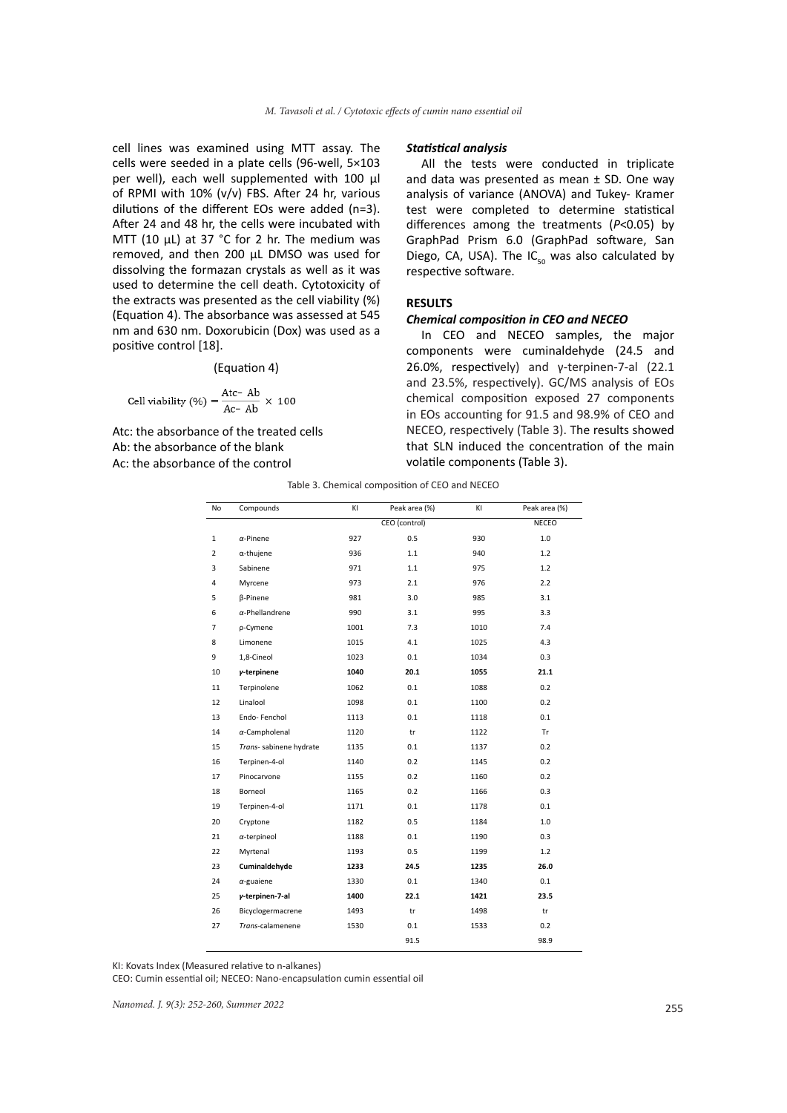cell lines was examined using MTT assay. The cells were seeded in a plate cells (96-well, 5×103 per well), each well supplemented with 100 µl of RPMI with 10% (v/v) FBS. After 24 hr, various dilutions of the different EOs were added (n=3). After 24 and 48 hr, the cells were incubated with MTT (10 µL) at 37 °C for 2 hr. The medium was removed, and then 200 µL DMSO was used for dissolving the formazan crystals as well as it was used to determine the cell death. Cytotoxicity of the extracts was presented as the cell viability (%) (Equation 4). The absorbance was assessed at 545 nm and 630 nm. Doxorubicin (Dox) was used as a positive control [18].

(Equation 4)

Cell viability (
$$
\%
$$
) =  $\frac{Atc - Ab}{Ac - Ab} \times 100$ 

Atc: the absorbance of the treated cells Ab: the absorbance of the blank Ac: the absorbance of the control

#### *Statistical analysis*

All the tests were conducted in triplicate and data was presented as mean  $\pm$  SD. One way analysis of variance (ANOVA) and Tukey- Kramer test were completed to determine statistical differences among the treatments (*P*˂0.05) by GraphPad Prism 6.0 (GraphPad software, San Diego, CA, USA). The  $IC_{50}$  was also calculated by respective software.

# **RESULTS**

### *Chemical composition in CEO and NECEO*

In CEO and NECEO samples, the major components were cuminaldehyde (24.5 and 26.0%, respectively) and γ-terpinen-7-al (22.1 and 23.5%, respectively). GC/MS analysis of EOs chemical composition exposed 27 components in EOs accounting for 91.5 and 98.9% of CEO and NECEO, respectively (Table 3). The results showed that SLN induced the concentration of the main volatile components (Table 3).

Table 3. Chemical composition of CEO and NECEO

| No             | Compounds               | ΚI   | Peak area (%) | ΚI   | Peak area (%) |
|----------------|-------------------------|------|---------------|------|---------------|
|                |                         |      | CEO (control) |      | <b>NECEO</b>  |
| $\mathbf 1$    | $\alpha$ -Pinene        | 927  | 0.5           | 930  | 1.0           |
| 2              | $\alpha$ -thujene       | 936  | 1.1           | 940  | 1.2           |
| 3              | Sabinene                | 971  | 1.1           | 975  | 1.2           |
| 4              | Myrcene                 | 973  | 2.1           | 976  | 2.2           |
| 5              | <b>B-Pinene</b>         | 981  | 3.0           | 985  | 3.1           |
| 6              | $\alpha$ -Phellandrene  | 990  | 3.1           | 995  | 3.3           |
| $\overline{7}$ | p-Cymene                | 1001 | 7.3           | 1010 | 7.4           |
| 8              | Limonene                | 1015 | 4.1           | 1025 | 4.3           |
| 9              | 1,8-Cineol              | 1023 | 0.1           | 1034 | 0.3           |
| 10             | y-terpinene             | 1040 | 20.1          | 1055 | 21.1          |
| 11             | Terpinolene             | 1062 | 0.1           | 1088 | 0.2           |
| 12             | Linalool                | 1098 | 0.1           | 1100 | 0.2           |
| 13             | Endo-Fenchol            | 1113 | 0.1           | 1118 | 0.1           |
| 14             | $\alpha$ -Campholenal   | 1120 | tr            | 1122 | <b>Tr</b>     |
| 15             | Trans- sabinene hydrate | 1135 | 0.1           | 1137 | 0.2           |
| 16             | Terpinen-4-ol           | 1140 | 0.2           | 1145 | 0.2           |
| 17             | Pinocarvone             | 1155 | 0.2           | 1160 | 0.2           |
| 18             | Borneol                 | 1165 | 0.2           | 1166 | 0.3           |
| 19             | Terpinen-4-ol           | 1171 | 0.1           | 1178 | 0.1           |
| 20             | Cryptone                | 1182 | 0.5           | 1184 | $1.0$         |
| 21             | $\alpha$ -terpineol     | 1188 | 0.1           | 1190 | 0.3           |
| 22             | Myrtenal                | 1193 | 0.5           | 1199 | 1.2           |
| 23             | Cuminaldehyde           | 1233 | 24.5          | 1235 | 26.0          |
| 24             | $\alpha$ -guaiene       | 1330 | 0.1           | 1340 | 0.1           |
| 25             | y-terpinen-7-al         | 1400 | 22.1          | 1421 | 23.5          |
| 26             | Bicyclogermacrene       | 1493 | tr            | 1498 | tr            |
| 27             | Trans-calamenene        | 1530 | 0.1           | 1533 | 0.2           |
|                |                         |      | 91.5          |      | 98.9          |

KI: Kovats Index (Measured relative to n-alkanes)

CEO: Cumin essential oil; NECEO: Nano-encapsulation cumin essential oil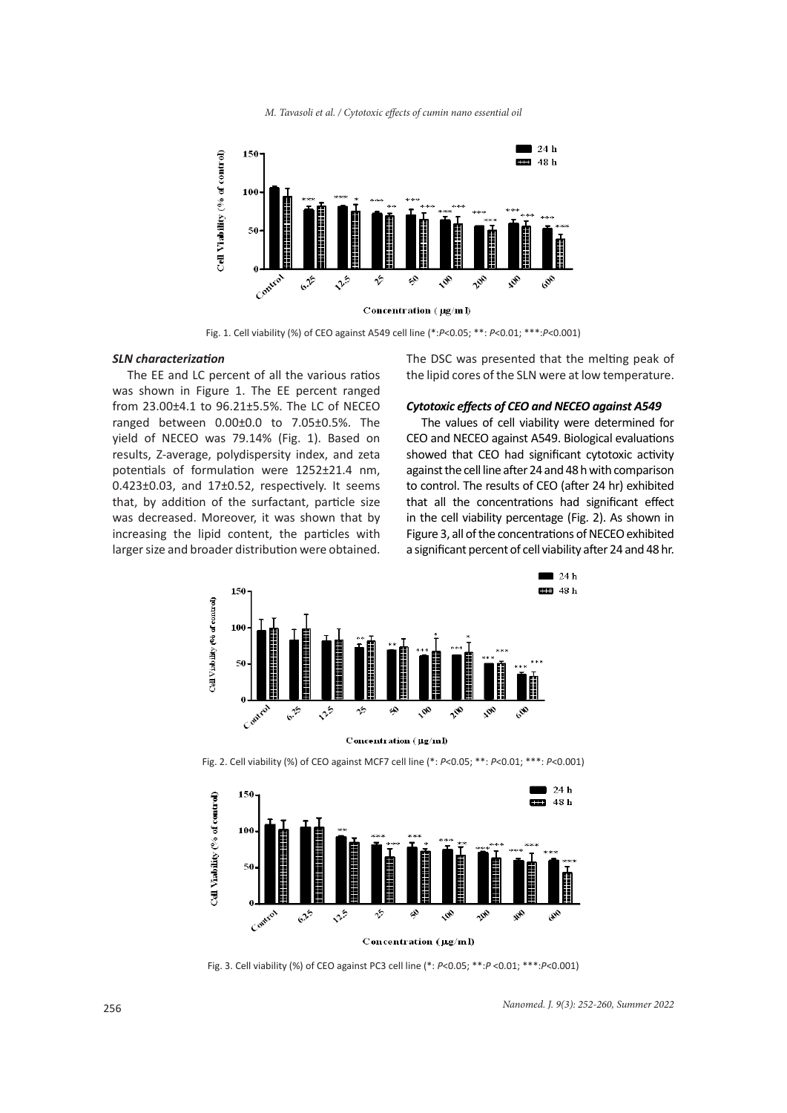*M. Tavasoli et al. / Cytotoxic effects of cumin nano essential oil*



Fig. 1. Cell viability (%) of CEO against A549 cell line (\*:*P*˂0.05; \*\*: *P*˂0.01; \*\*\*:*P*˂0.001)

#### *SLN characterization*

The EE and LC percent of all the various ratios was shown in Figure 1. The EE percent ranged from 23.00±4.1 to 96.21±5.5%. The LC of NECEO ranged between 0.00±0.0 to 7.05±0.5%. The yield of NECEO was 79.14% (Fig. 1). Based on results, Z-average, polydispersity index, and zeta potentials of formulation were 1252±21.4 nm, 0.423±0.03, and 17±0.52, respectively. It seems that, by addition of the surfactant, particle size was decreased. Moreover, it was shown that by increasing the lipid content, the particles with larger size and broader distribution were obtained. The DSC was presented that the melting peak of the lipid cores of the SLN were at low temperature.

#### *Cytotoxic effects of CEO and NECEO against A549*

The values of cell viability were determined for CEO and NECEO against A549. Biological evaluations showed that CEO had significant cytotoxic activity against the cell line after 24 and 48 h with comparison to control. The results of CEO (after 24 hr) exhibited that all the concentrations had significant effect in the cell viability percentage (Fig. 2). As shown in Figure 3, all of the concentrations of NECEO exhibited a significant percent of cell viability after 24 and 48 hr.



Concentration (µg/ml)

Fig. 2. Cell viability (%) of CEO against MCF7 cell line (\*: *P*˂0.05; \*\*: *P*˂0.01; \*\*\*: *P*˂0.001)



Fig. 3. Cell viability (%) of CEO against PC3 cell line (\*: *P*˂0.05; \*\*:*P* ˂0.01; \*\*\*:*P*˂0.001)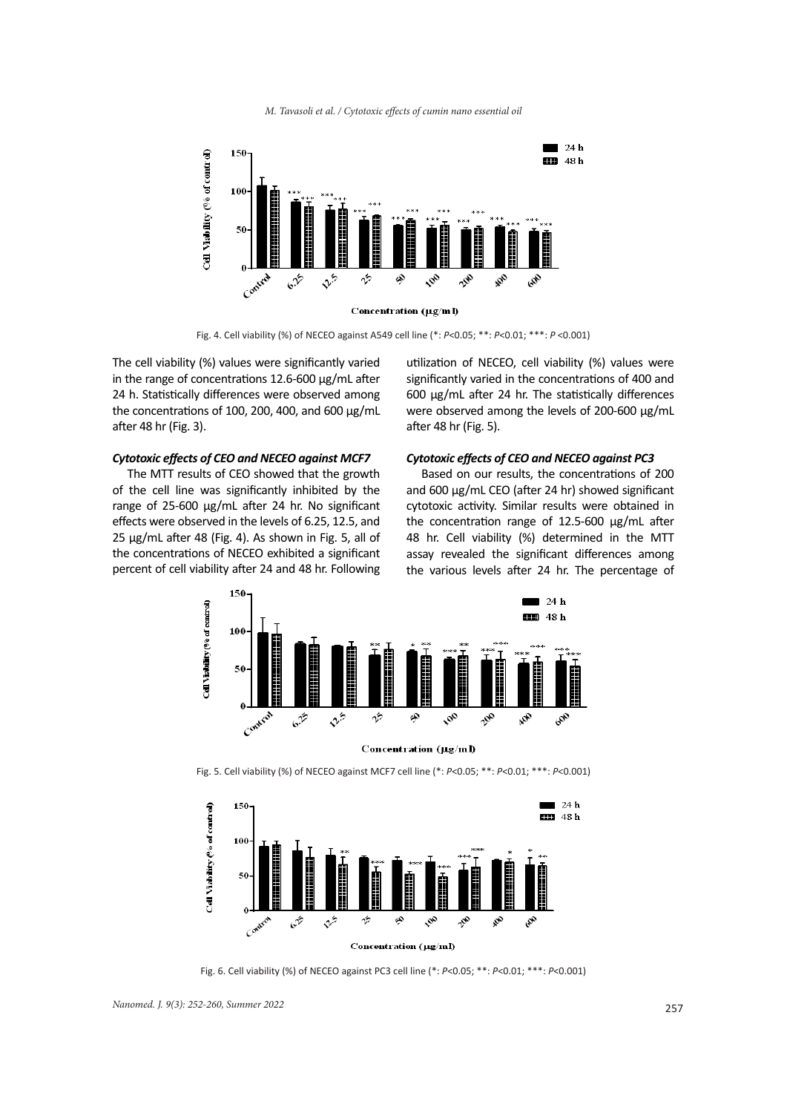



Fig. 4. Cell viability (%) of NECEO against A549 cell line (\*: *P*˂0.05; \*\*: *P*˂0.01; \*\*\*: *P* ˂0.001)

The cell viability (%) values were significantly varied in the range of concentrations 12.6-600 μg/mL after 24 h. Statistically differences were observed among the concentrations of 100, 200, 400, and 600 μg/mL after 48 hr (Fig. 3).

#### *Cytotoxic effects of CEO and NECEO against MCF7*

The MTT results of CEO showed that the growth of the cell line was significantly inhibited by the range of 25-600 μg/mL after 24 hr. No significant effects were observed in the levels of 6.25, 12.5, and 25 μg/mL after 48 (Fig. 4). As shown in Fig. 5, all of the concentrations of NECEO exhibited a significant percent of cell viability after 24 and 48 hr. Following

utilization of NECEO, cell viability (%) values were significantly varied in the concentrations of 400 and 600 μg/mL after 24 hr. The statistically differences were observed among the levels of 200-600 μg/mL after 48 hr (Fig. 5).

### *Cytotoxic effects of CEO and NECEO against PC3*

Based on our results, the concentrations of 200 and 600 μg/mL CEO (after 24 hr) showed significant cytotoxic activity. Similar results were obtained in the concentration range of 12.5-600 μg/mL after 48 hr. Cell viability (%) determined in the MTT assay revealed the significant differences among the various levels after 24 hr. The percentage of



Fig. 5. Cell viability (%) of NECEO against MCF7 cell line (\*: *P*˂0.05; \*\*: *P*˂0.01; \*\*\*: *P*˂0.001)



Fig. 6. Cell viability (%) of NECEO against PC3 cell line (\*: *P*˂0.05; \*\*: *P*˂0.01; \*\*\*: *P*˂0.001)

<sup>257</sup> *Nanomed. J. 9(3): 252-260, Summer 2022*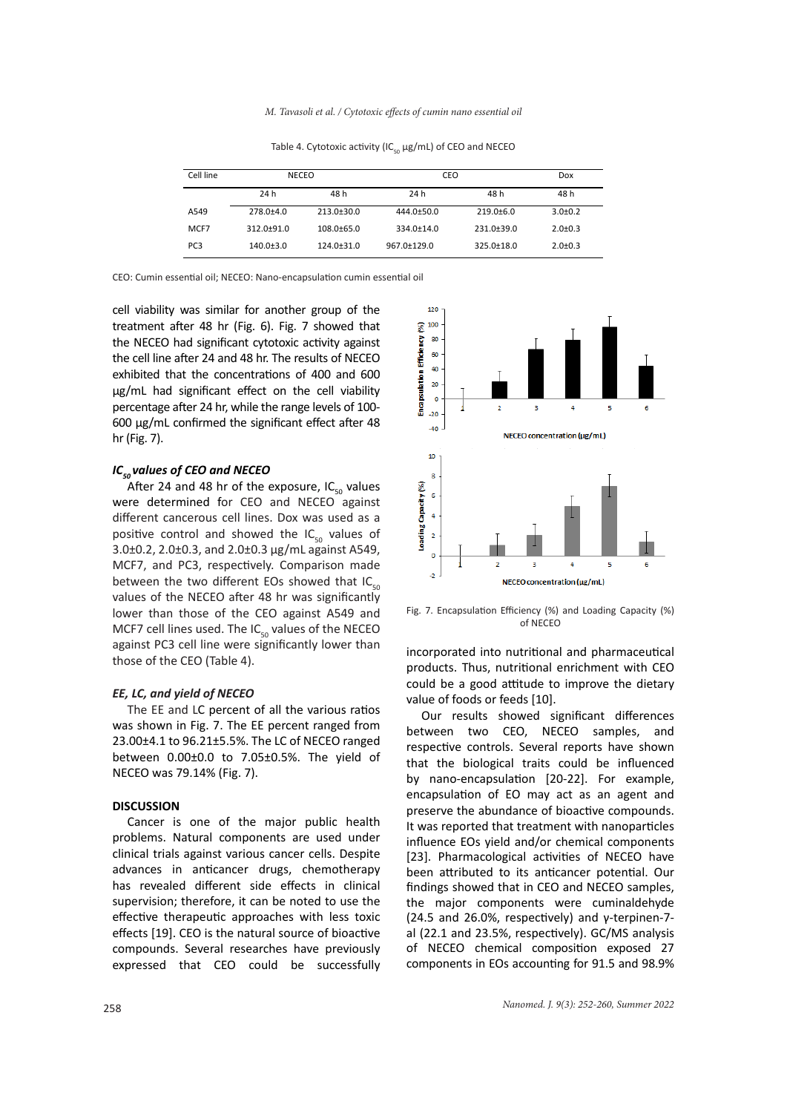| Cell line       | <b>NECEO</b>    |                  | CEO               |                  | Dox         |
|-----------------|-----------------|------------------|-------------------|------------------|-------------|
|                 | 24 h            | 48 h             | 24 h              | 48 h             | 48 h        |
| A549            | $278.0 + 4.0$   | $213.0+30.0$     | 444.0±50.0        | $219.0 + 6.0$    | $3.0+0.2$   |
| MCF7            | $312.0 + 91.0$  | $108.0\pm 65.0$  | $334.0 \pm 14.0$  | $231.0+39.0$     | $2.0 + 0.3$ |
| PC <sub>3</sub> | $140.0 \pm 3.0$ | $124.0 \pm 31.0$ | $967.0 \pm 129.0$ | $325.0 \pm 18.0$ | $2.0 + 0.3$ |

Table 4. Cytotoxic activity (IC $_{50}$  µg/mL) of CEO and NECEO

CEO: Cumin essential oil; NECEO: Nano-encapsulation cumin essential oil

cell viability was similar for another group of the treatment after 48 hr (Fig. 6). Fig. 7 showed that the NECEO had significant cytotoxic activity against the cell line after 24 and 48 hr. The results of NECEO exhibited that the concentrations of 400 and 600 μg/mL had significant effect on the cell viability percentage after 24 hr, while the range levels of 100- 600 μg/mL confirmed the significant effect after 48 hr (Fig. 7).

### *IC*<sub>50</sub> values of CEO and NECEO

After 24 and 48 hr of the exposure, IC $_{50}$  values were determined for CEO and NECEO against different cancerous cell lines. Dox was used as a positive control and showed the  $IC_{50}$  values of 3.0±0.2, 2.0±0.3, and 2.0±0.3 µg/mL against A549, MCF7, and PC3, respectively. Comparison made between the two different EOs showed that  $IC_{50}$ values of the NECEO after 48 hr was significantly lower than those of the CEO against A549 and MCF7 cell lines used. The  $IC_{r0}$  values of the NECEO against PC3 cell line were significantly lower than those of the CEO (Table 4).

#### *EE, LC, and yield of NECEO*

The EE and LC percent of all the various ratios was shown in Fig. 7. The EE percent ranged from 23.00±4.1 to 96.21±5.5%. The LC of NECEO ranged between 0.00±0.0 to 7.05±0.5%. The yield of NECEO was 79.14% (Fig. 7).

## **DISCUSSION**

Cancer is one of the major public health problems. Natural components are used under clinical trials against various cancer cells. Despite advances in anticancer drugs, chemotherapy has revealed different side effects in clinical supervision; therefore, it can be noted to use the effective therapeutic approaches with less toxic effects [19]. CEO is the natural source of bioactive compounds. Several researches have previously expressed that CEO could be successfully



Fig. 7. Encapsulation Efficiency (%) and Loading Capacity (%) of NECEO

incorporated into nutritional and pharmaceutical products. Thus, nutritional enrichment with CEO could be a good attitude to improve the dietary value of foods or feeds [10].

Our results showed significant differences between two CEO, NECEO samples, and respective controls. Several reports have shown that the biological traits could be influenced by nano-encapsulation [20-22]. For example, encapsulation of EO may act as an agent and preserve the abundance of bioactive compounds. It was reported that treatment with nanoparticles influence EOs yield and/or chemical components [23]. Pharmacological activities of NECEO have been attributed to its anticancer potential. Our findings showed that in CEO and NECEO samples, the major components were cuminaldehyde (24.5 and 26.0%, respectively) and γ-terpinen-7 al (22.1 and 23.5%, respectively). GC/MS analysis of NECEO chemical composition exposed 27 components in EOs accounting for 91.5 and 98.9%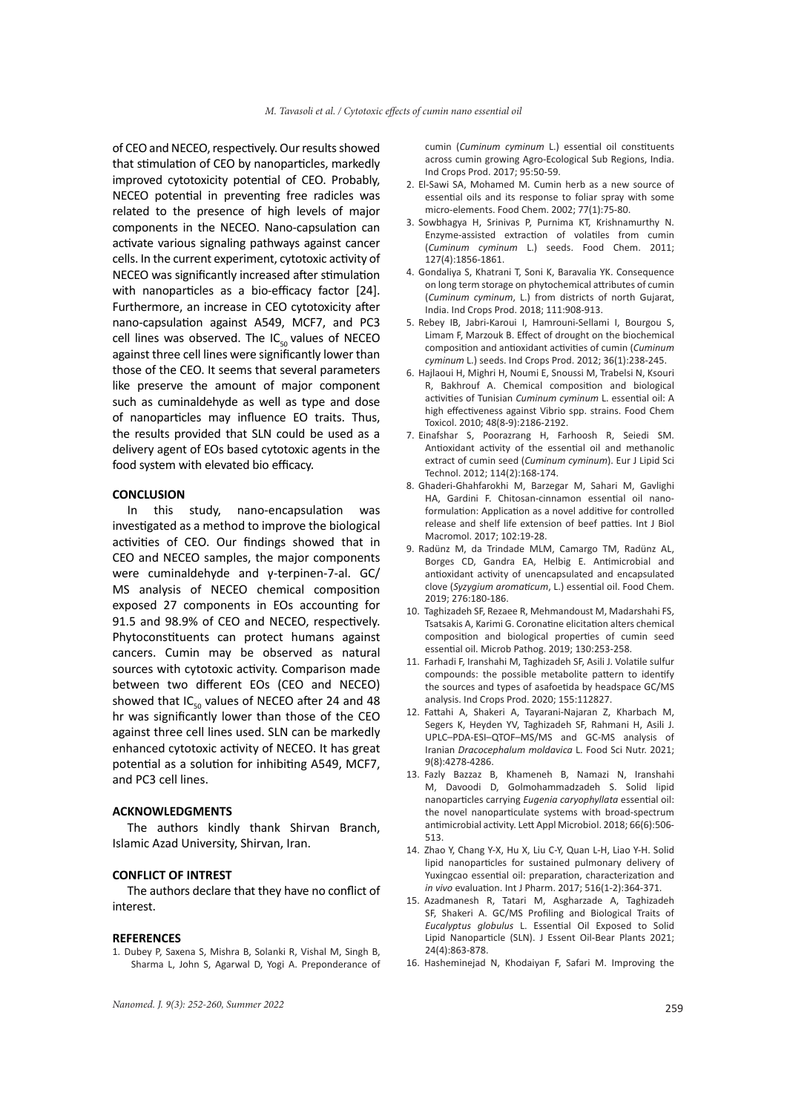of CEO and NECEO, respectively. Our results showed that stimulation of CEO by nanoparticles, markedly improved cytotoxicity potential of CEO. Probably, NECEO potential in preventing free radicles was related to the presence of high levels of major components in the NECEO. Nano-capsulation can activate various signaling pathways against cancer cells. In the current experiment, cytotoxic activity of NECEO was significantly increased after stimulation with nanoparticles as a bio-efficacy factor [24]. Furthermore, an increase in CEO cytotoxicity after nano-capsulation against A549, MCF7, and PC3 cell lines was observed. The  $IC_{50}$  values of NECEO against three cell lines were significantly lower than those of the CEO. It seems that several parameters like preserve the amount of major component such as cuminaldehyde as well as type and dose of nanoparticles may influence EO traits. Thus, the results provided that SLN could be used as a delivery agent of EOs based cytotoxic agents in the food system with elevated bio efficacy.

#### **CONCLUSION**

In this study, nano-encapsulation was investigated as a method to improve the biological activities of CEO. Our findings showed that in CEO and NECEO samples, the major components were cuminaldehyde and γ-terpinen-7-al. GC/ MS analysis of NECEO chemical composition exposed 27 components in EOs accounting for 91.5 and 98.9% of CEO and NECEO, respectively. Phytoconstituents can protect humans against cancers. Cumin may be observed as natural sources with cytotoxic activity. Comparison made between two different EOs (CEO and NECEO) showed that  $IC_{50}$  values of NECEO after 24 and 48 hr was significantly lower than those of the CEO against three cell lines used. SLN can be markedly enhanced cytotoxic activity of NECEO. It has great potential as a solution for inhibiting A549, MCF7, and PC3 cell lines.

#### **ACKNOWLEDGMENTS**

The authors kindly thank Shirvan Branch, Islamic Azad University, Shirvan, Iran.

### **CONFLICT OF INTREST**

The authors declare that they have no conflict of interest.

#### **REFERENCES**

1. Dubey P, Saxena S, Mishra B, Solanki R, Vishal M, Singh B, Sharma L, John S, Agarwal D, Yogi A. Preponderance of cumin (*Cuminum cyminum* L.) essential oil constituents across cumin growing Agro-Ecological Sub Regions, India. Ind Crops Prod. 2017; 95:50-59.

- 2. El-Sawi SA, Mohamed M. Cumin herb as a new source of essential oils and its response to foliar spray with some micro-elements. Food Chem. 2002; 77(1):75-80.
- 3. Sowbhagya H, Srinivas P, Purnima KT, Krishnamurthy N. Enzyme-assisted extraction of volatiles from cumin (*Cuminum cyminum* L.) seeds. Food Chem. 2011; 127(4):1856-1861.
- 4. Gondaliya S, Khatrani T, Soni K, Baravalia YK. Consequence on long term storage on phytochemical attributes of cumin (*Cuminum cyminum*, L.) from districts of north Gujarat, India. Ind Crops Prod. 2018; 111:908-913.
- 5. Rebey IB, Jabri-Karoui I, Hamrouni-Sellami I, Bourgou S, Limam F, Marzouk B. Effect of drought on the biochemical composition and antioxidant activities of cumin (*Cuminum cyminum* L.) seeds. Ind Crops Prod. 2012; 36(1):238-245.
- 6. Hajlaoui H, Mighri H, Noumi E, Snoussi M, Trabelsi N, Ksouri R, Bakhrouf A. Chemical composition and biological activities of Tunisian *Cuminum cyminum* L. essential oil: A high effectiveness against Vibrio spp. strains. Food Chem Toxicol. 2010; 48(8-9):2186-2192.
- 7. Einafshar S, Poorazrang H, Farhoosh R, Seiedi SM. Antioxidant activity of the essential oil and methanolic extract of cumin seed (*Cuminum cyminum*). Eur J Lipid Sci Technol. 2012; 114(2):168-174.
- 8. Ghaderi-Ghahfarokhi M, Barzegar M, Sahari M, Gavlighi HA, Gardini F. Chitosan-cinnamon essential oil nanoformulation: Application as a novel additive for controlled release and shelf life extension of beef patties. Int J Biol Macromol. 2017; 102:19-28.
- 9. Radünz M, da Trindade MLM, Camargo TM, Radünz AL, Borges CD, Gandra EA, Helbig E. Antimicrobial and antioxidant activity of unencapsulated and encapsulated clove (*Syzygium aromaticum*, L.) essential oil. Food Chem. 2019; 276:180-186.
- 10. Taghizadeh SF, Rezaee R, Mehmandoust M, Madarshahi FS, Tsatsakis A, Karimi G. Coronatine elicitation alters chemical composition and biological properties of cumin seed essential oil. Microb Pathog. 2019; 130:253-258.
- 11. Farhadi F, Iranshahi M, Taghizadeh SF, Asili J. Volatile sulfur compounds: the possible metabolite pattern to identify the sources and types of asafoetida by headspace GC/MS analysis. Ind Crops Prod. 2020; 155:112827.
- 12. Fattahi A, Shakeri A, Tayarani‐Najaran Z, Kharbach M, Segers K, Heyden YV, Taghizadeh SF, Rahmani H, Asili J. UPLC–PDA‐ESI–QTOF–MS/MS and GC‐MS analysis of Iranian *Dracocephalum moldavica* L. Food Sci Nutr. 2021; 9(8):4278-4286.
- 13. Fazly Bazzaz B, Khameneh B, Namazi N, Iranshahi M, Davoodi D, Golmohammadzadeh S. Solid lipid nanoparticles carrying *Eugenia caryophyllata* essential oil: the novel nanoparticulate systems with broad‐spectrum antimicrobial activity. Lett Appl Microbiol. 2018; 66(6):506- 513.
- 14. Zhao Y, Chang Y-X, Hu X, Liu C-Y, Quan L-H, Liao Y-H. Solid lipid nanoparticles for sustained pulmonary delivery of Yuxingcao essential oil: preparation, characterization and *in vivo* evaluation. Int J Pharm. 2017; 516(1-2):364-371.
- 15. Azadmanesh R, Tatari M, Asgharzade A, Taghizadeh SF, Shakeri A. GC/MS Profiling and Biological Traits of *Eucalyptus globulus* L. Essential Oil Exposed to Solid Lipid Nanoparticle (SLN). J Essent Oil-Bear Plants 2021; 24(4):863-878.
- 16. Hasheminejad N, Khodaiyan F, Safari M. Improving the